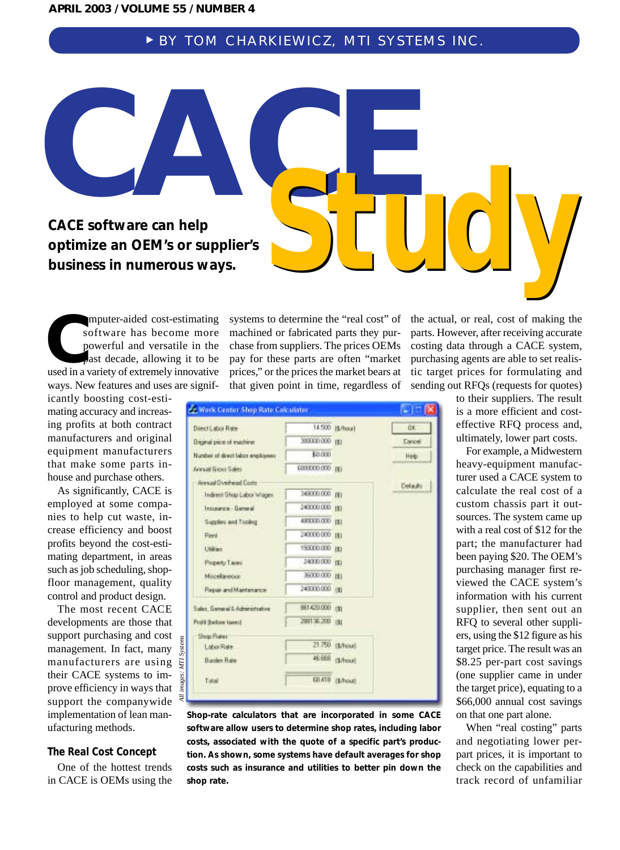# <sup>❿</sup> BY TOM CHARKIEWICZ, MTI SYSTEMS INC.

**CACE Software can beln CACE software can help optimize an OEM's or supplier's**  CACE software can help<br>optimize an OEM's or supplier's<br>business in numerous ways.

omputer-aided cost-estimating software has become more powerful and versatile in the past decade, allowing it to be omputer-aided cost-estimating<br>software has become more<br>powerful and versatile in the<br>past decade, allowing it to be<br>used in a variety of extremely innovative ways. New features and uses are signif-

icantly boosting cost-estimating accuracy and increasing profits at both contract manufacturers and original equipment manufacturers that make some parts inhouse and purchase others.

As significantly, CACE is employed at some companies to help cut waste, increase efficiency and boost profits beyond the cost-estimating department, in areas such as job scheduling, shopfloor management, quality control and product design.

The most recent CACE developments are those that support purchasing and cost management. In fact, many manufacturers are using their CACE systems to improve efficiency in ways that support the companywide implementation of lean manufacturing methods.

*All images: MTI Systems*

## **The Real Cost Concept**

One of the hottest trends in CACE is OEMs using the

systems to determine the "real cost" of machined or fabricated parts they purchase from suppliers. The prices OEMs pay for these parts are often "market prices," or the prices the market bears at that given point in time, regardless of

| Direct Labor Rate                  |                 | 14.500 [\$/hou]  | Ü£.           |
|------------------------------------|-----------------|------------------|---------------|
| Drighal price of trustwie          | 300000.000 mm   |                  | <b>Cancel</b> |
| Number of direct labor engaloyees: | \$0.000         |                  | Help:         |
| Annual Group Sales                 | 6000000.000 HD  |                  |               |
| Armual Overhend Costs              |                 |                  | Delaulti      |
| Indirect Shop Labor Wages          | 349000.000 mm   |                  |               |
| Insurance - General                | 240000.000 BY   |                  |               |
| Supplies and Tooling               | 430000.000 Hz   |                  |               |
| <b>Flend</b>                       | 240000.000 min  |                  |               |
| Utilizer.                          | 150000.000 (\$) |                  |               |
| Phoperty Tases                     | 34000.000 rg)   |                  |               |
| Micelavour                         | 36000.000 mi    |                  |               |
| Reportent Mantenance               | 143000.000 00   |                  |               |
| Sales, General I. Administrative   | B61420.000 (B)  |                  |               |
| Profit (belore taxes)              | 200136.200 (8)  |                  |               |
| <b>Shop Flater</b>                 |                 |                  |               |
| Labor Rate                         |                 | 21.750 (\$/row)  |               |
| <b>Burden Rate</b>                 |                 | 46.668 (\$/hour) |               |
| Tatal                              |                 | SUNTE GATINE     |               |

**Shop-rate calculators that are incorporated in some CACE software allow users to determine shop rates, including labor costs, associated with the quote of a specific part's production. As shown, some systems have default averages for shop costs such as insurance and utilities to better pin down the shop rate.**

the actual, or real, cost of making the parts. However, after receiving accurate costing data through a CACE system, purchasing agents are able to set realistic target prices for formulating and sending out RFQs (requests for quotes)

*Study*

to their suppliers. The result is a more efficient and costeffective RFQ process and, ultimately, lower part costs.

For example, a Midwestern heavy-equipment manufacturer used a CACE system to calculate the real cost of a custom chassis part it outsources. The system came up with a real cost of \$12 for the part; the manufacturer had been paying \$20. The OEM's purchasing manager first reviewed the CACE system's information with his current supplier, then sent out an RFQ to several other suppliers, using the \$12 figure as his target price. The result was an \$8.25 per-part cost savings (one supplier came in under the target price), equating to a \$66,000 annual cost savings on that one part alone.

When "real costing" parts and negotiating lower perpart prices, it is important to check on the capabilities and track record of unfamiliar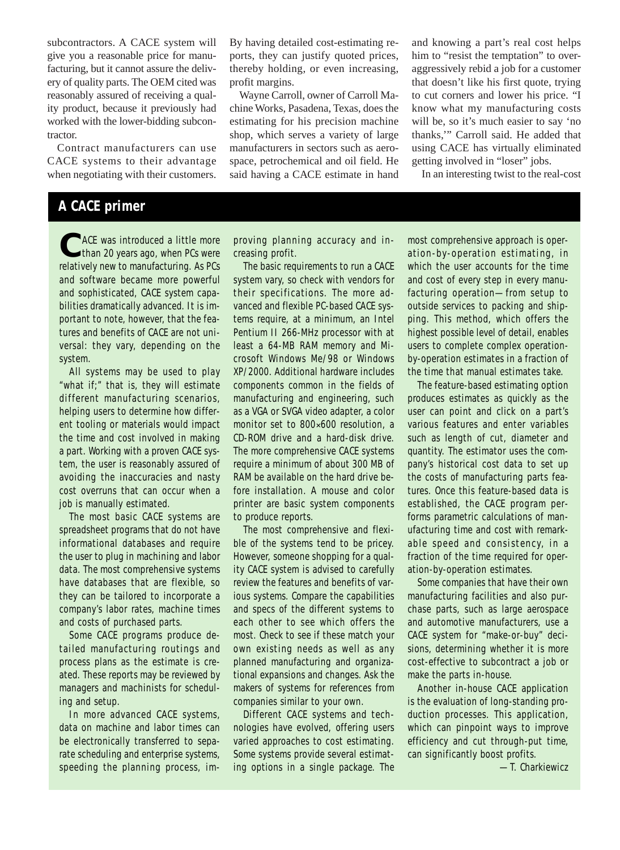subcontractors. A CACE system will give you a reasonable price for manufacturing, but it cannot assure the delivery of quality parts. The OEM cited was reasonably assured of receiving a quality product, because it previously had worked with the lower-bidding subcontractor.

Contract manufacturers can use CACE systems to their advantage when negotiating with their customers. By having detailed cost-estimating reports, they can justify quoted prices, thereby holding, or even increasing, profit margins.

Wayne Carroll, owner of Carroll Machine Works, Pasadena, Texas, does the estimating for his precision machine shop, which serves a variety of large manufacturers in sectors such as aerospace, petrochemical and oil field. He said having a CACE estimate in hand

and knowing a part's real cost helps him to "resist the temptation" to overaggressively rebid a job for a customer that doesn't like his first quote, trying to cut corners and lower his price. "I know what my manufacturing costs will be, so it's much easier to say 'no thanks,'" Carroll said. He added that using CACE has virtually eliminated getting involved in "loser" jobs.

In an interesting twist to the real-cost

# **A CACE primer**

C ACE was introduced a little more relatively new to manufacturing. As PCs and software became more powerful and sophisticated, CACE system capabilities dramatically advanced. It is important to note, however, that the features and benefits of CACE are not universal: they vary, depending on the system.

All systems may be used to play "what if;" that is, they will estimate different manufacturing scenarios, helping users to determine how different tooling or materials would impact the time and cost involved in making a part. Working with a proven CACE system, the user is reasonably assured of avoiding the inaccuracies and nasty cost overruns that can occur when a job is manually estimated.

The most basic CACE systems are spreadsheet programs that do not have informational databases and require the user to plug in machining and labor data. The most comprehensive systems have databases that are flexible, so they can be tailored to incorporate a company's labor rates, machine times and costs of purchased parts.

Some CACE programs produce detailed manufacturing routings and process plans as the estimate is created. These reports may be reviewed by managers and machinists for scheduling and setup.

In more advanced CACE systems, data on machine and labor times can be electronically transferred to separate scheduling and enterprise systems, speeding the planning process, improving planning accuracy and increasing profit.

The basic requirements to run a CACE system vary, so check with vendors for their specifications. The more advanced and flexible PC-based CACE systems require, at a minimum, an Intel Pentium II 266-MHz processor with at least a 64-MB RAM memory and Microsoft Windows Me/98 or Windows XP/2000. Additional hardware includes components common in the fields of manufacturing and engineering, such as a VGA or SVGA video adapter, a color monitor set to 800×600 resolution, a CD-ROM drive and a hard-disk drive. The more comprehensive CACE systems require a minimum of about 300 MB of RAM be available on the hard drive before installation. A mouse and color printer are basic system components to produce reports.

The most comprehensive and flexible of the systems tend to be pricey. However, someone shopping for a quality CACE system is advised to carefully review the features and benefits of various systems. Compare the capabilities and specs of the different systems to each other to see which offers the most. Check to see if these match your own existing needs as well as any planned manufacturing and organizational expansions and changes. Ask the makers of systems for references from companies similar to your own.

Different CACE systems and technologies have evolved, offering users varied approaches to cost estimating. Some systems provide several estimating options in a single package. The most comprehensive approach is operation-by-operation estimating, in which the user accounts for the time and cost of every step in every manufacturing operation—from setup to outside services to packing and shipping. This method, which offers the highest possible level of detail, enables users to complete complex operationby-operation estimates in a fraction of the time that manual estimates take.

The feature-based estimating option produces estimates as quickly as the user can point and click on a part's various features and enter variables such as length of cut, diameter and quantity. The estimator uses the company's historical cost data to set up the costs of manufacturing parts features. Once this feature-based data is established, the CACE program performs parametric calculations of manufacturing time and cost with remarkable speed and consistency, in a fraction of the time required for operation-by-operation estimates.

Some companies that have their own manufacturing facilities and also purchase parts, such as large aerospace and automotive manufacturers, use a CACE system for "make-or-buy" decisions, determining whether it is more cost-effective to subcontract a job or make the parts in-house.

Another in-house CACE application is the evaluation of long-standing production processes. This application, which can pinpoint ways to improve efficiency and cut through-put time, can significantly boost profits.

—T. Charkiewicz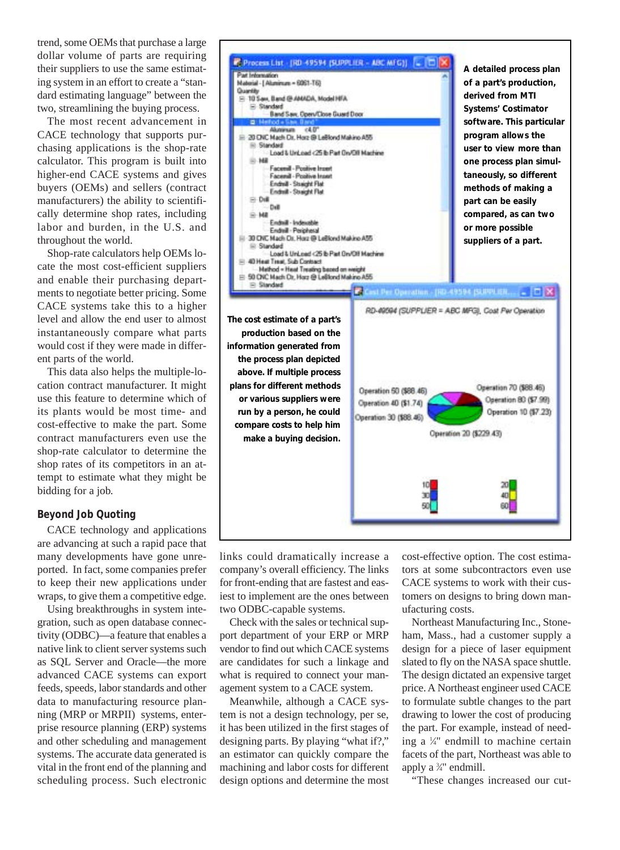trend, some OEMs that purchase a large dollar volume of parts are requiring their suppliers to use the same estimating system in an effort to create a "standard estimating language" between the two, streamlining the buying process.

The most recent advancement in CACE technology that supports purchasing applications is the shop-rate calculator. This program is built into higher-end CACE systems and gives buyers (OEMs) and sellers (contract manufacturers) the ability to scientifically determine shop rates, including labor and burden, in the U.S. and throughout the world.

Shop-rate calculators help OEMs locate the most cost-efficient suppliers and enable their purchasing departments to negotiate better pricing. Some CACE systems take this to a higher level and allow the end user to almost instantaneously compare what parts would cost if they were made in different parts of the world.

This data also helps the multiple-location contract manufacturer. It might use this feature to determine which of its plants would be most time- and cost-effective to make the part. Some contract manufacturers even use the shop-rate calculator to determine the shop rates of its competitors in an attempt to estimate what they might be bidding for a job.

#### **Beyond Job Quoting**

CACE technology and applications are advancing at such a rapid pace that many developments have gone unreported. In fact, some companies prefer to keep their new applications under wraps, to give them a competitive edge.

Using breakthroughs in system integration, such as open database connectivity (ODBC)—a feature that enables a native link to client server systems such as SQL Server and Oracle—the more advanced CACE systems can export feeds, speeds, labor standards and other data to manufacturing resource planning (MRP or MRPII) systems, enterprise resource planning (ERP) systems and other scheduling and management systems. The accurate data generated is vital in the front end of the planning and scheduling process. Such electronic



links could dramatically increase a company's overall efficiency. The links for front-ending that are fastest and easiest to implement are the ones between two ODBC-capable systems.

Check with the sales or technical support department of your ERP or MRP vendor to find out which CACE systems are candidates for such a linkage and what is required to connect your management system to a CACE system.

Meanwhile, although a CACE system is not a design technology, per se, it has been utilized in the first stages of designing parts. By playing "what if?," an estimator can quickly compare the machining and labor costs for different design options and determine the most cost-effective option. The cost estimators at some subcontractors even use CACE systems to work with their customers on designs to bring down manufacturing costs.

Northeast Manufacturing Inc., Stoneham, Mass., had a customer supply a design for a piece of laser equipment slated to fly on the NASA space shuttle. The design dictated an expensive target price. A Northeast engineer used CACE to formulate subtle changes to the part drawing to lower the cost of producing the part. For example, instead of needing a 1 ⁄4" endmill to machine certain facets of the part, Northeast was able to apply a <sup>3/4"</sup> endmill.

"These changes increased our cut-